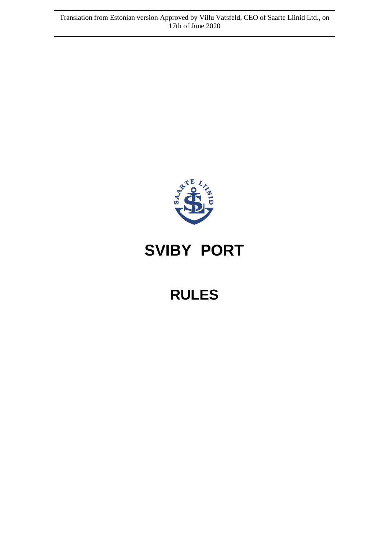Translation from Estonian version Approved by Villu Vatsfeld, CEO of Saarte Liinid Ltd., on 17th of June 2020



# **SVIBY PORT**

# **RULES**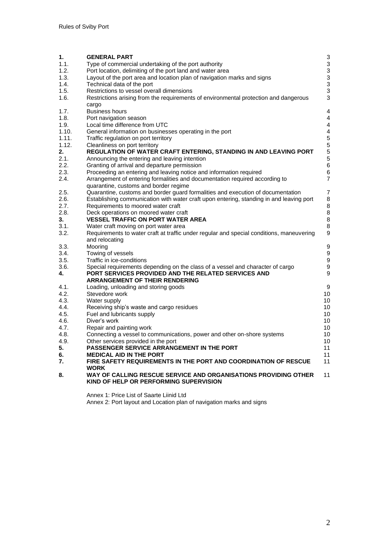| 1.    | <b>GENERAL PART</b>                                                                           | 3                         |
|-------|-----------------------------------------------------------------------------------------------|---------------------------|
| 1.1.  | Type of commercial undertaking of the port authority                                          | $\mathbf{3}$              |
| 1.2.  | Port location, delimiting of the port land and water area                                     | $\,$ 3 $\,$               |
| 1.3.  | Layout of the port area and location plan of navigation marks and signs                       | 3                         |
| 1.4.  | Technical data of the port                                                                    | $\ensuremath{\mathsf{3}}$ |
| 1.5.  | Restrictions to vessel overall dimensions                                                     | 3                         |
| 1.6.  | Restrictions arising from the requirements of environmental protection and dangerous<br>cargo | 3                         |
| 1.7.  | <b>Business hours</b>                                                                         | 4                         |
| 1.8.  | Port navigation season                                                                        | 4                         |
| 1.9.  | Local time difference from UTC                                                                | 4                         |
| 1.10. | General information on businesses operating in the port                                       | $\overline{4}$            |
| 1.11. | Traffic regulation on port territory                                                          | $\overline{5}$            |
| 1.12. | Cleanliness on port territory                                                                 | $\overline{5}$            |
| 2.    | REGULATION OF WATER CRAFT ENTERING, STANDING IN AND LEAVING PORT                              | 5                         |
| 2.1.  | Announcing the entering and leaving intention                                                 | 5                         |
| 2.2.  | Granting of arrival and departure permission                                                  | $6\phantom{a}$            |
| 2.3.  | Proceeding an entering and leaving notice and information required                            | 6                         |
| 2.4.  | Arrangement of entering formalities and documentation required according to                   | 7                         |
|       | quarantine, customs and border regime                                                         |                           |
| 2.5.  | Quarantine, customs and border guard formalities and execution of documentation               | 7                         |
| 2.6.  | Establishing communication with water craft upon entering, standing in and leaving port       | 8                         |
| 2.7.  | Requirements to moored water craft                                                            | 8                         |
| 2.8.  | Deck operations on moored water craft                                                         | 8                         |
| 3.    | <b>VESSEL TRAFFIC ON PORT WATER AREA</b>                                                      | 8                         |
| 3.1.  | Water craft moving on port water area                                                         | 8                         |
| 3.2.  | Requirements to water craft at traffic under regular and special conditions, maneuvering      | 9                         |
|       | and relocating                                                                                |                           |
| 3.3.  | Mooring                                                                                       | 9                         |
| 3.4.  | Towing of vessels                                                                             | $\boldsymbol{9}$          |
| 3.5.  | Traffic in ice-conditions                                                                     | $\boldsymbol{9}$          |
| 3.6.  | Special requirements depending on the class of a vessel and character of cargo                | $\boldsymbol{9}$          |
| 4.    | PORT SERVICES PROVIDED AND THE RELATED SERVICES AND                                           | 9                         |
|       | <b>ARRANGEMENT OF THEIR RENDERING</b>                                                         |                           |
| 4.1.  | Loading, unloading and storing goods                                                          | 9                         |
| 4.2.  | Stevedore work                                                                                | 10                        |
| 4.3.  | Water supply                                                                                  | 10                        |
| 4.4.  | Receiving ship's waste and cargo residues                                                     | 10                        |
| 4.5.  | Fuel and lubricants supply                                                                    | 10                        |
| 4.6.  | Diver's work                                                                                  | 10                        |
| 4.7.  | Repair and painting work                                                                      | 10                        |
| 4.8.  | Connecting a vessel to communications, power and other on-shore systems                       | 10                        |
| 4.9.  | Other services provided in the port                                                           | 10                        |
| 5.    | <b>PASSENGER SERVICE ARRANGEMENT IN THE PORT</b>                                              | 11                        |
| 6.    | <b>MEDICAL AID IN THE PORT</b>                                                                | 11                        |
| 7.    | FIRE SAFETY REQUIREMENTS IN THE PORT AND COORDINATION OF RESCUE                               | 11                        |
|       | WORK                                                                                          |                           |
| 8.    | WAY OF CALLING RESCUE SERVICE AND ORGANISATIONS PROVIDING OTHER                               | 11                        |
|       | KIND OF HELP OR PERFORMING SUPERVISION                                                        |                           |
|       |                                                                                               |                           |

Annex 1: Price List of Saarte Liinid Ltd Annex 2: Port layout and Location plan of navigation marks and signs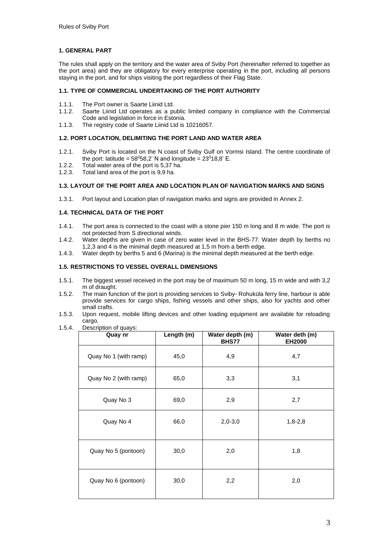# **1. GENERAL PART**

The rules shall apply on the territory and the water area of Sviby Port (hereinafter referred to together as the port area) and they are obligatory for every enterprise operating in the port, including all persons staying in the port, and for ships visiting the port regardless of their Flag State.

# **1.1. TYPE OF COMMERCIAL UNDERTAKING OF THE PORT AUTHORITY**

- 1.1.1. The Port owner is Saarte Liinid Ltd.<br>1.1.2. Saarte Liinid Ltd operates as a pu
- Saarte Liinid Ltd operates as a public limited company in compliance with the Commercial Code and legislation in force in Estonia.
- 1.1.3. The registry code of Saarte Liinid Ltd is 10216057.

# **1.2. PORT LOCATION, DELIMITING THE PORT LAND AND WATER AREA**

- 1.2.1. Sviby Port is located on the N coast of Sviby Gulf on Vormsi Island. The centre coordinate of the port: latitude =  $58^058,2$ ' N and longitude =  $23^018,8$ ' E.
- 1.2.2. Total water area of the port is 5,37 ha.
- 1.2.3. Total land area of the port is 9,9 ha.

### **1.3. LAYOUT OF THE PORT AREA AND LOCATION PLAN OF NAVIGATION MARKS AND SIGNS**

1.3.1. Port layout and Location plan of navigation marks and signs are provided in Annex 2.

# **1.4. TECHNICAL DATA OF THE PORT**

- 1.4.1. The port area is connected to the coast with a stone pier 150 m long and 8 m wide. The port is not protected from S directional winds.
- 1.4.2. Water depths are given in case of zero water level in the BHS-77. Water depth by berths no 1,2,3 and 4 is the minimal depth measured at 1,5 m from a berth edge.
- 1.4.3. Water depth by berths 5 and 6 (Marina) is the minimal depth measured at the berth edge.

#### **1.5. RESTRICTIONS TO VESSEL OVERALL DIMENSIONS**

- 1.5.1. The biggest vessel received in the port may be of maximum 50 m long, 15 m wide and with 3,2 m of draught.
- 1.5.2. The main function of the port is providing services to Sviby- Rohuküla ferry line, harbour is able provide services for cargo ships, fishing vessels and other ships, also for yachts and other small crafts.
- 1.5.3. Upon request, mobile lifting devices and other loading equipment are available for reloading cargo.
- 1.5.4. Description of quays:

| Quay nr               | Length (m) | Water depth (m)<br>BHS77 | Water deth (m)<br><b>EH2000</b> |
|-----------------------|------------|--------------------------|---------------------------------|
| Quay No 1 (with ramp) | 45,0       | 4,9                      | 4,7                             |
| Quay No 2 (with ramp) | 65,0       | 3,3                      | 3,1                             |
| Quay No 3             | 69,0       | 2,9                      | 2,7                             |
| Quay No 4             | 66,0       | $2,0-3,0$                | $1,8-2,8$                       |
| Quay No 5 (pontoon)   | 30,0       | 2,0                      | 1,8                             |
| Quay No 6 (pontoon)   | 30,0       | 2,2                      | 2,0                             |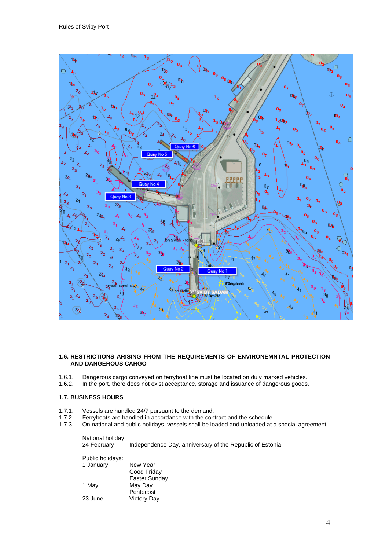

# **1.6. RESTRICTIONS ARISING FROM THE REQUIREMENTS OF ENVIRONEMNTAL PROTECTION AND DANGEROUS CARGO**

- 1.6.1. Dangerous cargo conveyed on ferryboat line must be located on duly marked vehicles.<br>1.6.2. In the port, there does not exist acceptance, storage and issuance of dangerous goods
- In the port, there does not exist acceptance, storage and issuance of dangerous goods.

# **1.7. BUSINESS HOURS**

- 1.7.1. Vessels are handled 24/7 pursuant to the demand.<br>1.7.2. Ferryboats are handled in accordance with the con
- 1.7.2. Ferryboats are handled **i**n accordance with the contract and the schedule
- On national and public holidays, vessels shall be loaded and unloaded at a special agreement.

National holiday:<br>24 February Independence Day, anniversary of the Republic of Estonia

| Public holidays: |                    |  |
|------------------|--------------------|--|
| 1 January        | New Year           |  |
|                  | Good Friday        |  |
|                  | Easter Sunday      |  |
| 1 May            | May Day            |  |
|                  | Pentecost          |  |
| 23 June          | <b>Victory Day</b> |  |
|                  |                    |  |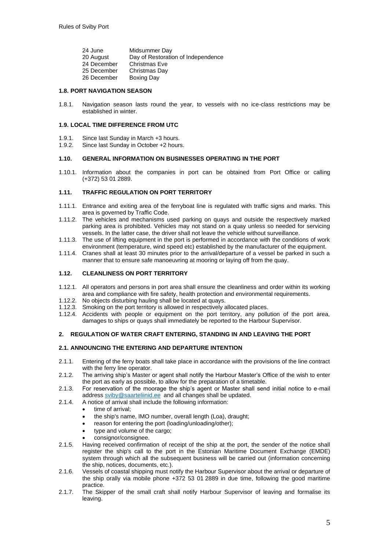| 24 June     | Midsummer Day                      |
|-------------|------------------------------------|
| 20 August   | Day of Restoration of Independence |
| 24 December | Christmas Eve                      |
| 25 December | Christmas Day                      |
| 26 December | <b>Boxing Day</b>                  |

## **1.8. PORT NAVIGATION SEASON**

1.8.1. Navigation season lasts round the year, to vessels with no ice-class restrictions may be established in winter.

#### **1.9. LOCAL TIME DIFFERENCE FROM UTC**

- 1.9.1. Since last Sunday in March +3 hours.<br>1.9.2. Since last Sunday in October +2 hours
- Since last Sunday in October +2 hours.

#### **1.10. GENERAL INFORMATION ON BUSINESSES OPERATING IN THE PORT**

1.10.1. Information about the companies in port can be obtained from Port Office or calling (+372) 53 01 2889.

# **1.11. TRAFFIC REGULATION ON PORT TERRITORY**

- 1.11.1. Entrance and exiting area of the ferryboat line is regulated with traffic signs and marks. This area is governed by Traffic Code.
- 1.11.2. The vehicles and mechanisms used parking on quays and outside the respectively marked parking area is prohibited. Vehicles may not stand on a quay unless so needed for servicing vessels. In the latter case, the driver shall not leave the vehicle without surveillance.
- 1.11.3. The use of lifting equipment in the port is performed in accordance with the conditions of work environment (temperature, wind speed etc) established by the manufacturer of the equipment.
- 1.11.4. Cranes shall at least 30 minutes prior to the arrival/departure of a vessel be parked in such a manner that to ensure safe manoeuvring at mooring or laying off from the quay.

#### **1.12. CLEANLINESS ON PORT TERRITORY**

- 1.12.1. All operators and persons in port area shall ensure the cleanliness and order within its working area and compliance with fire safety, health protection and environmental requirements.
- 1.12.2. No objects disturbing hauling shall be located at quays.
- 1.12.3. Smoking on the port territory is allowed in respectively allocated places.
- 1.12.4. Accidents with people or equipment on the port territory, any pollution of the port area, damages to ships or quays shall immediately be reported to the Harbour Supervisor.

# **2. REGULATION OF WATER CRAFT ENTERING, STANDING IN AND LEAVING THE PORT**

# **2.1. ANNOUNCING THE ENTERING AND DEPARTURE INTENTION**

- 2.1.1. Entering of the ferry boats shall take place in accordance with the provisions of the line contract with the ferry line operator.
- 2.1.2. The arriving ship's Master or agent shall notify the Harbour Master's Office of the wish to enter the port as early as possible, to allow for the preparation of a timetable.
- 2.1.3. For reservation of the moorage the ship's agent or Master shall send initial notice to e-mail address sviby@saarteliinid.ee and all changes shall be updated.
- 2.1.4. A notice of arrival shall include the following information:
	- time of arrival:
		- the ship's name, IMO number, overall length (Loa), draught;
		- reason for entering the port (loading/unloading/other);
		- type and volume of the cargo;
		- consignor/consignee.
- 2.1.5. Having received confirmation of receipt of the ship at the port, the sender of the notice shall register the ship's call to the port in the Estonian Maritime Document Exchange (EMDE) system through which all the subsequent business will be carried out (information concerning the ship, notices, documents, etc.).
- 2.1.6. Vessels of coastal shipping must notify the Harbour Supervisor about the arrival or departure of the ship orally via mobile phone +372 53 01 2889 in due time, following the good maritime practice.
- 2.1.7. The Skipper of the small craft shall notify Harbour Supervisor of leaving and formalise its leaving.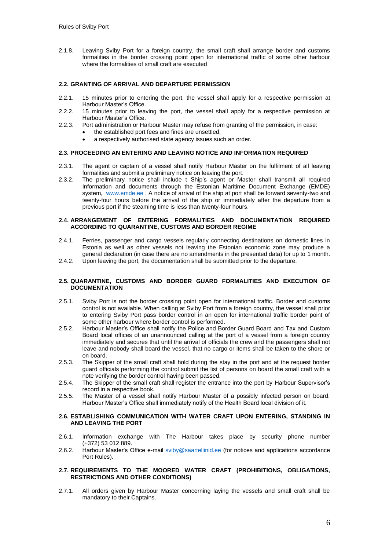2.1.8. Leaving Sviby Port for a foreign country, the small craft shall arrange border and customs formalities in the border crossing point open for international traffic of some other harbour where the formalities of small craft are executed

# **2.2. GRANTING OF ARRIVAL AND DEPARTURE PERMISSION**

- 2.2.1. 15 minutes prior to entering the port, the vessel shall apply for a respective permission at Harbour Master's Office.
- 2.2.2. 15 minutes prior to leaving the port, the vessel shall apply for a respective permission at Harbour Master's Office.
- 2.2.3. Port administration or Harbour Master may refuse from granting of the permission, in case:
	- the established port fees and fines are unsettled;
		- a respectively authorised state agency issues such an order.

#### **2.3. PROCEEDING AN ENTERING AND LEAVING NOTICE AND INFORMATION REQUIRED**

- 2.3.1. The agent or captain of a vessel shall notify Harbour Master on the fulfilment of all leaving formalities and submit a preliminary notice on leaving the port.
- 2.3.2. The preliminary notice shall include t Ship's agent or Master shall transmit all required Information and documents through the Estonian Maritime Document Exchange (EMDE) system, www.emde.ee . A notice of arrival of the ship at port shall be forward seventy-two and twenty-four hours before the arrival of the ship or immediately after the departure from a previous port if the steaming time is less than twenty-four hours.

#### **2.4. ARRANGEMENT OF ENTERING FORMALITIES AND DOCUMENTATION REQUIRED ACCORDING TO QUARANTINE, CUSTOMS AND BORDER REGIME**

- 2.4.1. Ferries, passenger and cargo vessels regularly connecting destinations on domestic lines in Estonia as well as other vessels not leaving the Estonian economic zone may produce a general declaration (in case there are no amendments in the presented data) for up to 1 month.
- 2.4.2. Upon leaving the port, the documentation shall be submitted prior to the departure.

#### **2.5. QUARANTINE, CUSTOMS AND BORDER GUARD FORMALITIES AND EXECUTION OF DOCUMENTATION**

- 2.5.1. Sviby Port is not the border crossing point open for international traffic. Border and customs control is not available. When calling at Sviby Port from a foreign country, the vessel shall prior to entering Sviby Port pass border control in an open for international traffic border point of some other harbour where border control is performed.
- 2.5.2. Harbour Master's Office shall notify the Police and Border Guard Board and Tax and Custom Board local offices of an unannounced calling at the port of a vessel from a foreign country immediately and secures that until the arrival of officials the crew and the passengers shall not leave and nobody shall board the vessel, that no cargo or items shall be taken to the shore or on board.
- 2.5.3. The Skipper of the small craft shall hold during the stay in the port and at the request border guard officials performing the control submit the list of persons on board the small craft with a note verifying the border control having been passed.
- 2.5.4. The Skipper of the small craft shall register the entrance into the port by Harbour Supervisor's record in a respective book.
- 2.5.5. The Master of a vessel shall notify Harbour Master of a possibly infected person on board. Harbour Master's Office shall immediately notify of the Health Board local division of it.

#### **2.6. ESTABLISHING COMMUNICATION WITH WATER CRAFT UPON ENTERING, STANDING IN AND LEAVING THE PORT**

- 2.6.1. Information exchange with The Harbour takes place by security phone number (+372) 53 012 889.
- 2.6.2. Harbour Master's Office e-mail sviby@saarteliinid.ee (for notices and applications accordance Port Rules).

# **2.7. REQUIREMENTS TO THE MOORED WATER CRAFT (PROHIBITIONS, OBLIGATIONS, RESTRICTIONS AND OTHER CONDITIONS)**

2.7.1. All orders given by Harbour Master concerning laying the vessels and small craft shall be mandatory to their Captains.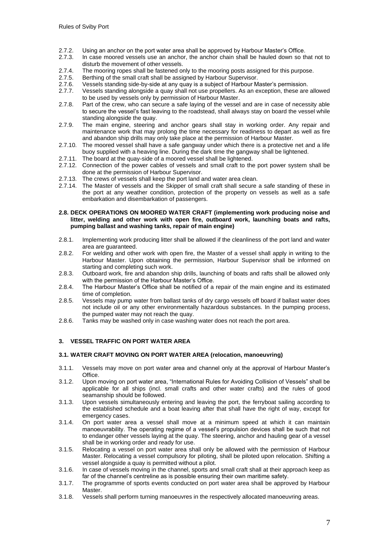- 2.7.2. Using an anchor on the port water area shall be approved by Harbour Master's Office.
- 2.7.3. In case moored vessels use an anchor, the anchor chain shall be hauled down so that not to disturb the movement of other vessels.
- 2.7.4. The mooring ropes shall be fastened only to the mooring posts assigned for this purpose.<br>2.7.5. Berthing of the small craft shall be assigned by Harbour Supervisor.
- Berthing of the small craft shall be assigned by Harbour Supervisor.
- 2.7.6. Vessels standing side-by-side at any quay is a subject of Harbour Master's permission.
- 2.7.7. Vessels standing alongside a quay shall not use propellers. As an exception, these are allowed to be used by vessels only by permission of Harbour Master.
- 2.7.8. Part of the crew, who can secure a safe laying of the vessel and are in case of necessity able to secure the vessel's fast leaving to the roadstead, shall always stay on board the vessel while standing alongside the quay.
- 2.7.9. The main engine, steering and anchor gears shall stay in working order. Any repair and maintenance work that may prolong the time necessary for readiness to depart as well as fire and abandon ship drills may only take place at the permission of Harbour Master.
- 2.7.10. The moored vessel shall have a safe gangway under which there is a protective net and a life buoy supplied with a heaving line. During the dark time the gangway shall be lightened.
- 2.7.11. The board at the quay-side of a moored vessel shall be lightened.
- 2.7.12. Connection of the power cables of vessels and small craft to the port power system shall be done at the permission of Harbour Supervisor.
- 2.7.13. The crews of vessels shall keep the port land and water area clean.
- 2.7.14. The Master of vessels and the Skipper of small craft shall secure a safe standing of these in the port at any weather condition, protection of the property on vessels as well as a safe embarkation and disembarkation of passengers.
- **2.8. DECK OPERATIONS ON MOORED WATER CRAFT (implementing work producing noise and litter, welding and other work with open fire, outboard work, launching boats and rafts, pumping ballast and washing tanks, repair of main engine)**
- 2.8.1. Implementing work producing litter shall be allowed if the cleanliness of the port land and water area are guaranteed.
- 2.8.2. For welding and other work with open fire, the Master of a vessel shall apply in writing to the Harbour Master. Upon obtaining the permission, Harbour Supervisor shall be informed on starting and completing such work.
- 2.8.3. Outboard work, fire and abandon ship drills, launching of boats and rafts shall be allowed only with the permission of the Harbour Master's Office.
- 2.8.4. The Harbour Master's Office shall be notified of a repair of the main engine and its estimated time of completion.
- 2.8.5. Vessels may pump water from ballast tanks of dry cargo vessels off board if ballast water does not include oil or any other environmentally hazardous substances. In the pumping process, the pumped water may not reach the quay.
- 2.8.6. Tanks may be washed only in case washing water does not reach the port area.

# **3. VESSEL TRAFFIC ON PORT WATER AREA**

# **3.1. WATER CRAFT MOVING ON PORT WATER AREA (relocation, manoeuvring)**

- 3.1.1. Vessels may move on port water area and channel only at the approval of Harbour Master's Office.
- 3.1.2. Upon moving on port water area, "International Rules for Avoiding Collision of Vessels" shall be applicable for all ships (incl. small crafts and other water crafts) and the rules of good seamanship should be followed.
- 3.1.3. Upon vessels simultaneously entering and leaving the port, the ferryboat sailing according to the established schedule and a boat leaving after that shall have the right of way, except for emergency cases.
- 3.1.4. On port water area a vessel shall move at a minimum speed at which it can maintain manoeuvrability. The operating regime of a vessel's propulsion devices shall be such that not to endanger other vessels laying at the quay. The steering, anchor and hauling gear of a vessel shall be in working order and ready for use.
- 3.1.5. Relocating a vessel on port water area shall only be allowed with the permission of Harbour Master. Relocating a vessel compulsory for piloting, shall be piloted upon relocation. Shifting a vessel alongside a quay is permitted without a pilot.
- 3.1.6. In case of vessels moving in the channel, sports and small craft shall at their approach keep as far of the channel's centreline as is possible ensuring their own maritime safety.
- 3.1.7. The programme of sports events conducted on port water area shall be approved by Harbour Master.
- 3.1.8. Vessels shall perform turning manoeuvres in the respectively allocated manoeuvring areas.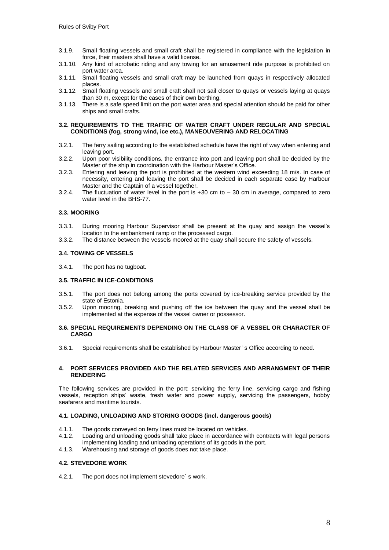- 3.1.9. Small floating vessels and small craft shall be registered in compliance with the legislation in force, their masters shall have a valid license.
- 3.1.10. Any kind of acrobatic riding and any towing for an amusement ride purpose is prohibited on port water area.
- 3.1.11. Small floating vessels and small craft may be launched from quays in respectively allocated places.
- 3.1.12. Small floating vessels and small craft shall not sail closer to quays or vessels laying at quays than 30 m, except for the cases of their own berthing.
- 3.1.13. There is a safe speed limit on the port water area and special attention should be paid for other ships and small crafts.

#### **3.2. REQUIREMENTS TO THE TRAFFIC OF WATER CRAFT UNDER REGULAR AND SPECIAL CONDITIONS (fog, strong wind, ice etc.), MANEOUVERING AND RELOCATING**

- 3.2.1. The ferry sailing according to the established schedule have the right of way when entering and leaving port.
- 3.2.2. Upon poor visibility conditions, the entrance into port and leaving port shall be decided by the Master of the ship in coordination with the Harbour Master's Office.
- 3.2.3. Entering and leaving the port is prohibited at the western wind exceeding 18 m/s. In case of necessity, entering and leaving the port shall be decided in each separate case by Harbour Master and the Captain of a vessel together.
- 3.2.4. The fluctuation of water level in the port is +30 cm to 30 cm in average, compared to zero water level in the BHS-77.

#### **3.3. MOORING**

- 3.3.1. During mooring Harbour Supervisor shall be present at the quay and assign the vessel's location to the embankment ramp or the processed cargo.
- 3.3.2. The distance between the vessels moored at the quay shall secure the safety of vessels.

#### **3.4. TOWING OF VESSELS**

3.4.1. The port has no tugboat.

#### **3.5. TRAFFIC IN ICE-CONDITIONS**

- 3.5.1. The port does not belong among the ports covered by ice-breaking service provided by the state of Estonia.
- 3.5.2. Upon mooring, breaking and pushing off the ice between the quay and the vessel shall be implemented at the expense of the vessel owner or possessor.

#### **3.6. SPECIAL REQUIREMENTS DEPENDING ON THE CLASS OF A VESSEL OR CHARACTER OF CARGO**

3.6.1. Special requirements shall be established by Harbour Master ̓ s Office according to need.

#### **4. PORT SERVICES PROVIDED AND THE RELATED SERVICES AND ARRANGMENT OF THEIR RENDERING**

The following services are provided in the port: servicing the ferry line, servicing cargo and fishing vessels, reception ships' waste, fresh water and power supply, servicing the passengers, hobby seafarers and maritime tourists.

#### **4.1. LOADING, UNLOADING AND STORING GOODS (incl. dangerous goods)**

- 4.1.1. The goods conveyed on ferry lines must be located on vehicles.
- 4.1.2. Loading and unloading goods shall take place in accordance with contracts with legal persons implementing loading and unloading operations of its goods in the port.
- 4.1.3. Warehousing and storage of goods does not take place.

#### **4.2. STEVEDORE WORK**

4.2.1. The port does not implement stevedore´ s work.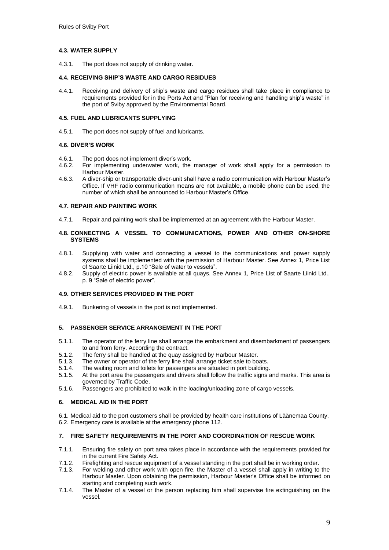## **4.3. WATER SUPPLY**

4.3.1. The port does not supply of drinking water.

#### **4.4. RECEIVING SHIP'S WASTE AND CARGO RESIDUES**

4.4.1. Receiving and delivery of ship's waste and cargo residues shall take place in compliance to requirements provided for in the Ports Act and "Plan for receiving and handling ship's waste" in the port of Sviby approved by the Environmental Board.

#### **4.5. FUEL AND LUBRICANTS SUPPLYING**

4.5.1. The port does not supply of fuel and lubricants.

#### **4.6. DIVER'S WORK**

- 4.6.1. The port does not implement diver's work.
- 4.6.2. For implementing underwater work, the manager of work shall apply for a permission to Harbour Master.
- 4.6.3. A diver-ship or transportable diver-unit shall have a radio communication with Harbour Master's Office. If VHF radio communication means are not available, a mobile phone can be used, the number of which shall be announced to Harbour Master's Office.

#### **4.7. REPAIR AND PAINTING WORK**

4.7.1. Repair and painting work shall be implemented at an agreement with the Harbour Master.

#### **4.8. CONNECTING A VESSEL TO COMMUNICATIONS, POWER AND OTHER ON-SHORE SYSTEMS**

- 4.8.1. Supplying with water and connecting a vessel to the communications and power supply systems shall be implemented with the permission of Harbour Master. See Annex 1, Price List of Saarte Liinid Ltd., p.10 "Sale of water to vessels".
- 4.8.2. Supply of electric power is available at all quays. See Annex 1, Price List of Saarte Liinid Ltd., p. 9 "Sale of electric power".

#### **4.9. OTHER SERVICES PROVIDED IN THE PORT**

4.9.1. Bunkering of vessels in the port is not implemented.

# **5. PASSENGER SERVICE ARRANGEMENT IN THE PORT**

- 5.1.1. The operator of the ferry line shall arrange the embarkment and disembarkment of passengers to and from ferry. According the contract.
- 5.1.2. The ferry shall be handled at the quay assigned by Harbour Master.<br>5.1.3. The owner or operator of the ferry line shall arrange ticket sale to bo
- The owner or operator of the ferry line shall arrange ticket sale to boats.
- 5.1.4. The waiting room and toilets for passengers are situated in port building.<br>5.1.5. At the port area the passengers and drivers shall follow the traffic signs a
- At the port area the passengers and drivers shall follow the traffic signs and marks. This area is governed by Traffic Code.
- 5.1.6. Passengers are prohibited to walk in the loading/unloading zone of cargo vessels.

#### **6. MEDICAL AID IN THE PORT**

6.1. Medical aid to the port customers shall be provided by health care institutions of Läänemaa County. 6.2. Emergency care is available at the emergency phone 112.

#### **7. FIRE SAFETY REQUIREMENTS IN THE PORT AND COORDINATION OF RESCUE WORK**

- 7.1.1. Ensuring fire safety on port area takes place in accordance with the requirements provided for in the current Fire Safety Act.
- 7.1.2. Firefighting and rescue equipment of a vessel standing in the port shall be in working order.<br>7.1.3. For welding and other work with open fire, the Master of a vessel shall apply in writing to
- For welding and other work with open fire, the Master of a vessel shall apply in writing to the Harbour Master. Upon obtaining the permission, Harbour Master's Office shall be informed on starting and completing such work.
- 7.1.4. The Master of a vessel or the person replacing him shall supervise fire extinguishing on the vessel.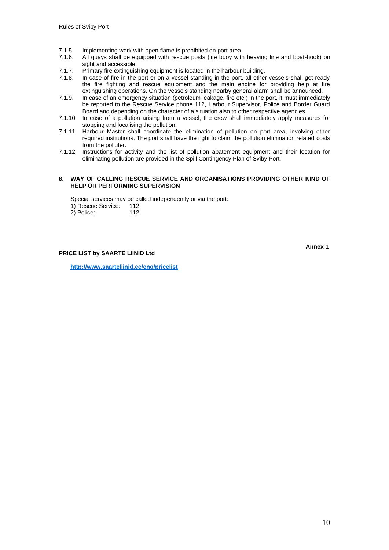- 7.1.5. Implementing work with open flame is prohibited on port area.<br>7.1.6. All quays shall be equipped with rescue posts (life buoy with
- All quays shall be equipped with rescue posts (life buoy with heaving line and boat-hook) on sight and accessible.
- 7.1.7. Primary fire extinguishing equipment is located in the harbour building.<br>7.1.8. In case of fire in the port or on a vessel standing in the port, all other
- In case of fire in the port or on a vessel standing in the port, all other vessels shall get ready the fire fighting and rescue equipment and the main engine for providing help at fire extinguishing operations. On the vessels standing nearby general alarm shall be announced.
- 7.1.9. In case of an emergency situation (petroleum leakage, fire etc.) in the port, it must immediately be reported to the Rescue Service phone 112, Harbour Supervisor, Police and Border Guard Board and depending on the character of a situation also to other respective agencies.
- 7.1.10. In case of a pollution arising from a vessel, the crew shall immediately apply measures for stopping and localising the pollution.
- 7.1.11. Harbour Master shall coordinate the elimination of pollution on port area, involving other required institutions. The port shall have the right to claim the pollution elimination related costs from the polluter.
- 7.1.12. Instructions for activity and the list of pollution abatement equipment and their location for eliminating pollution are provided in the Spill Contingency Plan of Sviby Port.

#### **8. WAY OF CALLING RESCUE SERVICE AND ORGANISATIONS PROVIDING OTHER KIND OF HELP OR PERFORMING SUPERVISION**

Special services may be called independently or via the port:

1) Rescue Service: 112 2) Police: 112

**PRICE LIST by SAARTE LIINID Ltd**

**Annex 1**

**http://www.saarteliinid.ee/eng/pricelist**